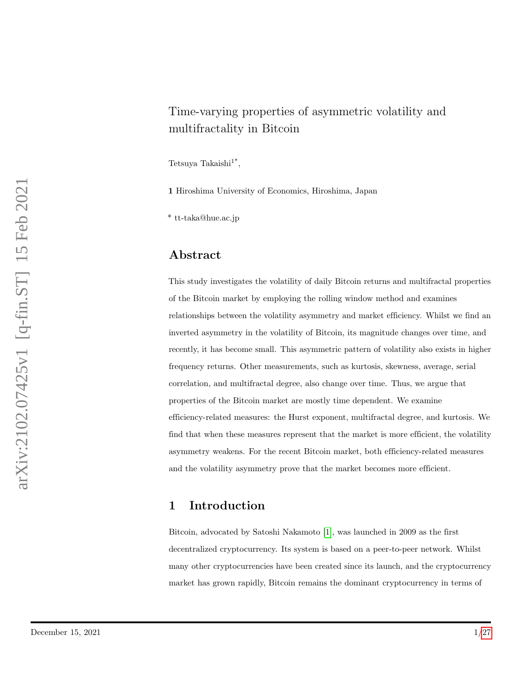# Time-varying properties of asymmetric volatility and multifractality in Bitcoin

Tetsuya Takaishi<sup>1\*</sup>,

1 Hiroshima University of Economics, Hiroshima, Japan

\* tt-taka@hue.ac.jp

### Abstract

This study investigates the volatility of daily Bitcoin returns and multifractal properties of the Bitcoin market by employing the rolling window method and examines relationships between the volatility asymmetry and market efficiency. Whilst we find an inverted asymmetry in the volatility of Bitcoin, its magnitude changes over time, and recently, it has become small. This asymmetric pattern of volatility also exists in higher frequency returns. Other measurements, such as kurtosis, skewness, average, serial correlation, and multifractal degree, also change over time. Thus, we argue that properties of the Bitcoin market are mostly time dependent. We examine efficiency-related measures: the Hurst exponent, multifractal degree, and kurtosis. We find that when these measures represent that the market is more efficient, the volatility asymmetry weakens. For the recent Bitcoin market, both efficiency-related measures and the volatility asymmetry prove that the market becomes more efficient.

# 1 Introduction

Bitcoin, advocated by Satoshi Nakamoto [\[1\]](#page-18-0), was launched in 2009 as the first decentralized cryptocurrency. Its system is based on a peer-to-peer network. Whilst many other cryptocurrencies have been created since its launch, and the cryptocurrency market has grown rapidly, Bitcoin remains the dominant cryptocurrency in terms of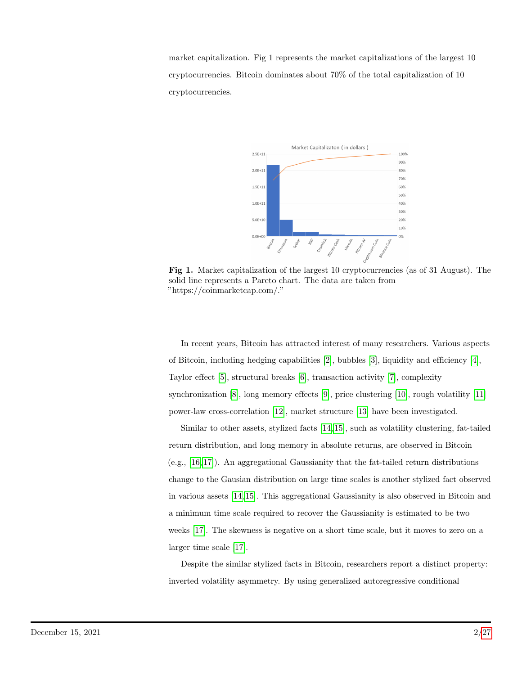market capitalization. Fig 1 represents the market capitalizations of the largest 10 cryptocurrencies. Bitcoin dominates about 70% of the total capitalization of 10 cryptocurrencies.



Fig 1. Market capitalization of the largest 10 cryptocurrencies (as of 31 August). The solid line represents a Pareto chart. The data are taken from "https://coinmarketcap.com/."

In recent years, Bitcoin has attracted interest of many researchers. Various aspects of Bitcoin, including hedging capabilities [\[2\]](#page-19-0), bubbles [\[3\]](#page-19-1), liquidity and efficiency [\[4\]](#page-19-2), Taylor effect [\[5\]](#page-19-3), structural breaks [\[6\]](#page-19-4), transaction activity [\[7\]](#page-19-5), complexity synchronization [\[8\]](#page-19-6), long memory effects [\[9\]](#page-19-7), price clustering [\[10\]](#page-19-8), rough volatility [\[11\]](#page-19-9) power-law cross-correlation [\[12\]](#page-19-10), market structure [\[13\]](#page-19-11) have been investigated.

Similar to other assets, stylized facts [\[14,](#page-19-12) [15\]](#page-20-0), such as volatility clustering, fat-tailed return distribution, and long memory in absolute returns, are observed in Bitcoin (e.g., [\[16,](#page-20-1) [17\]](#page-20-2)). An aggregational Gaussianity that the fat-tailed return distributions change to the Gausian distribution on large time scales is another stylized fact observed in various assets [\[14,](#page-19-12) [15\]](#page-20-0). This aggregational Gaussianity is also observed in Bitcoin and a minimum time scale required to recover the Gaussianity is estimated to be two weeks [\[17\]](#page-20-2). The skewness is negative on a short time scale, but it moves to zero on a larger time scale [\[17\]](#page-20-2).

Despite the similar stylized facts in Bitcoin, researchers report a distinct property: inverted volatility asymmetry. By using generalized autoregressive conditional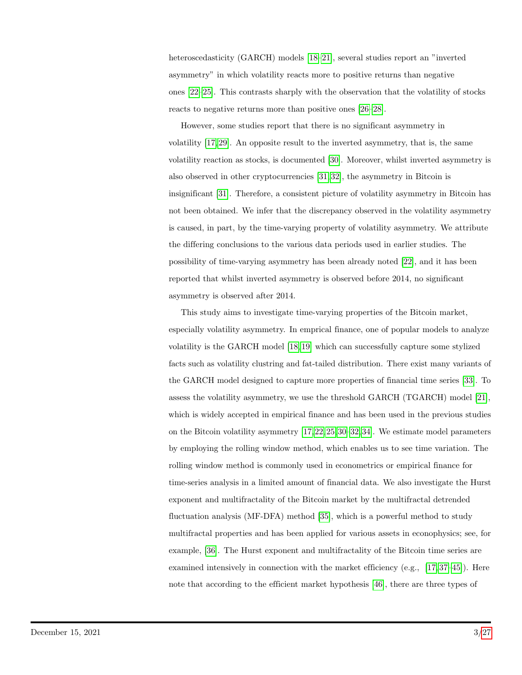heteroscedasticity (GARCH) models [\[18–](#page-20-3)[21\]](#page-20-4), several studies report an "inverted" asymmetry" in which volatility reacts more to positive returns than negative ones [\[22–](#page-20-5)[25\]](#page-20-6). This contrasts sharply with the observation that the volatility of stocks reacts to negative returns more than positive ones [\[26–](#page-20-7)[28\]](#page-21-0).

However, some studies report that there is no significant asymmetry in volatility [\[17,](#page-20-2) [29\]](#page-21-1). An opposite result to the inverted asymmetry, that is, the same volatility reaction as stocks, is documented [\[30\]](#page-21-2). Moreover, whilst inverted asymmetry is also observed in other cryptocurrencies [\[31,](#page-21-3) [32\]](#page-21-4), the asymmetry in Bitcoin is insignificant [\[31\]](#page-21-3). Therefore, a consistent picture of volatility asymmetry in Bitcoin has not been obtained. We infer that the discrepancy observed in the volatility asymmetry is caused, in part, by the time-varying property of volatility asymmetry. We attribute the differing conclusions to the various data periods used in earlier studies. The possibility of time-varying asymmetry has been already noted [\[22\]](#page-20-5), and it has been reported that whilst inverted asymmetry is observed before 2014, no significant asymmetry is observed after 2014.

This study aims to investigate time-varying properties of the Bitcoin market, especially volatility asymmetry. In emprical finance, one of popular models to analyze volatility is the GARCH model [\[18,](#page-20-3) [19\]](#page-20-8) which can successfully capture some stylized facts such as volatility clustring and fat-tailed distribution. There exist many variants of the GARCH model designed to capture more properties of financial time series [\[33\]](#page-21-5). To assess the volatility asymmetry, we use the threshold GARCH (TGARCH) model [\[21\]](#page-20-4), which is widely accepted in empirical finance and has been used in the previous studies on the Bitcoin volatility asymmetry [\[17,](#page-20-2) [22,](#page-20-5) [25,](#page-20-6) [30](#page-21-2)[–32,](#page-21-4) [34\]](#page-21-6). We estimate model parameters by employing the rolling window method, which enables us to see time variation. The rolling window method is commonly used in econometrics or empirical finance for time-series analysis in a limited amount of financial data. We also investigate the Hurst exponent and multifractality of the Bitcoin market by the multifractal detrended fluctuation analysis (MF-DFA) method [\[35\]](#page-21-7), which is a powerful method to study multifractal properties and has been applied for various assets in econophysics; see, for example, [\[36\]](#page-21-8). The Hurst exponent and multifractality of the Bitcoin time series are examined intensively in connection with the market efficiency (e.g.,  $[17, 37-45]$  $[17, 37-45]$  $[17, 37-45]$ ). Here note that according to the efficient market hypothesis [\[46\]](#page-22-1), there are three types of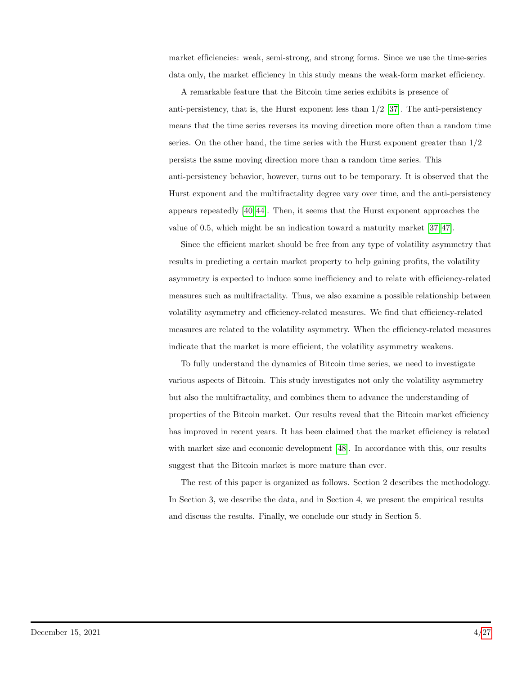market efficiencies: weak, semi-strong, and strong forms. Since we use the time-series data only, the market efficiency in this study means the weak-form market efficiency.

A remarkable feature that the Bitcoin time series exhibits is presence of anti-persistency, that is, the Hurst exponent less than  $1/2$  [\[37\]](#page-21-9). The anti-persistency means that the time series reverses its moving direction more often than a random time series. On the other hand, the time series with the Hurst exponent greater than 1/2 persists the same moving direction more than a random time series. This anti-persistency behavior, however, turns out to be temporary. It is observed that the Hurst exponent and the multifractality degree vary over time, and the anti-persistency appears repeatedly [\[40,](#page-22-2) [44\]](#page-22-3). Then, it seems that the Hurst exponent approaches the value of 0.5, which might be an indication toward a maturity market [\[37,](#page-21-9) [47\]](#page-22-4).

Since the efficient market should be free from any type of volatility asymmetry that results in predicting a certain market property to help gaining profits, the volatility asymmetry is expected to induce some inefficiency and to relate with efficiency-related measures such as multifractality. Thus, we also examine a possible relationship between volatility asymmetry and efficiency-related measures. We find that efficiency-related measures are related to the volatility asymmetry. When the efficiency-related measures indicate that the market is more efficient, the volatility asymmetry weakens.

To fully understand the dynamics of Bitcoin time series, we need to investigate various aspects of Bitcoin. This study investigates not only the volatility asymmetry but also the multifractality, and combines them to advance the understanding of properties of the Bitcoin market. Our results reveal that the Bitcoin market efficiency has improved in recent years. It has been claimed that the market efficiency is related with market size and economic development [\[48\]](#page-22-5). In accordance with this, our results suggest that the Bitcoin market is more mature than ever.

The rest of this paper is organized as follows. Section 2 describes the methodology. In Section 3, we describe the data, and in Section 4, we present the empirical results and discuss the results. Finally, we conclude our study in Section 5.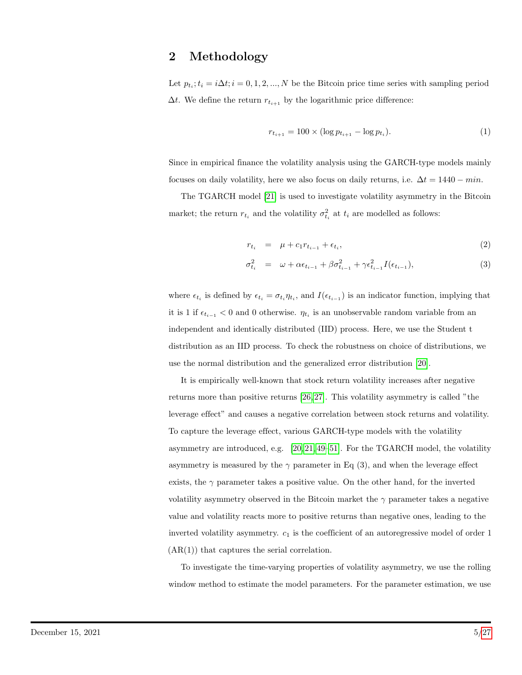### 2 Methodology

Let  $p_{t_i}; t_i = i\Delta t; i = 0, 1, 2, ..., N$  be the Bitcoin price time series with sampling period  $\Delta t.$  We define the return  $r_{t_{i+1}}$  by the logarithmic price difference:

$$
r_{t_{i+1}} = 100 \times (\log p_{t_{i+1}} - \log p_{t_i}).\tag{1}
$$

Since in empirical finance the volatility analysis using the GARCH-type models mainly focuses on daily volatility, here we also focus on daily returns, i.e.  $\Delta t = 1440 - min$ .

The TGARCH model [\[21\]](#page-20-4) is used to investigate volatility asymmetry in the Bitcoin market; the return  $r_{t_i}$  and the volatility  $\sigma_{t_i}^2$  at  $t_i$  are modelled as follows:

$$
r_{t_i} = \mu + c_1 r_{t_{i-1}} + \epsilon_{t_i}, \tag{2}
$$

$$
\sigma_{t_i}^2 = \omega + \alpha \epsilon_{t_{i-1}} + \beta \sigma_{t_{i-1}}^2 + \gamma \epsilon_{t_{i-1}}^2 I(\epsilon_{t_{i-1}}),
$$
\n(3)

where  $\epsilon_{t_i}$  is defined by  $\epsilon_{t_i} = \sigma_{t_i} \eta_{t_i}$ , and  $I(\epsilon_{t_{i-1}})$  is an indicator function, implying that it is 1 if  $\epsilon_{t_{i-1}} < 0$  and 0 otherwise.  $\eta_{t_i}$  is an unobservable random variable from an independent and identically distributed (IID) process. Here, we use the Student t distribution as an IID process. To check the robustness on choice of distributions, we use the normal distribution and the generalized error distribution [\[20\]](#page-20-9).

It is empirically well-known that stock return volatility increases after negative returns more than positive returns [\[26,](#page-20-7) [27\]](#page-21-10). This volatility asymmetry is called "the leverage effect" and causes a negative correlation between stock returns and volatility. To capture the leverage effect, various GARCH-type models with the volatility asymmetry are introduced, e.g. [\[20,](#page-20-9) [21,](#page-20-4) [49–](#page-22-6)[51\]](#page-22-7). For the TGARCH model, the volatility asymmetry is measured by the  $\gamma$  parameter in Eq (3), and when the leverage effect exists, the  $\gamma$  parameter takes a positive value. On the other hand, for the inverted volatility asymmetry observed in the Bitcoin market the  $\gamma$  parameter takes a negative value and volatility reacts more to positive returns than negative ones, leading to the inverted volatility asymmetry.  $c_1$  is the coefficient of an autoregressive model of order 1  $(AR(1))$  that captures the serial correlation.

To investigate the time-varying properties of volatility asymmetry, we use the rolling window method to estimate the model parameters. For the parameter estimation, we use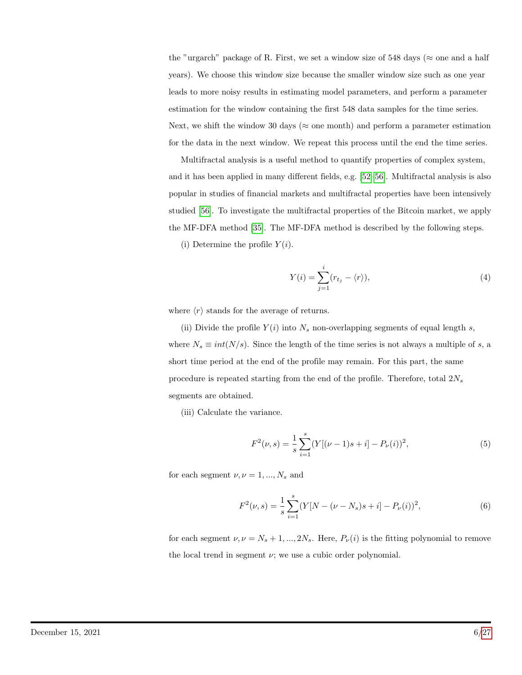the "urgarch" package of R. First, we set a window size of 548 days ( $\approx$  one and a half years). We choose this window size because the smaller window size such as one year leads to more noisy results in estimating model parameters, and perform a parameter estimation for the window containing the first 548 data samples for the time series. Next, we shift the window 30 days ( $\approx$  one month) and perform a parameter estimation for the data in the next window. We repeat this process until the end the time series.

Multifractal analysis is a useful method to quantify properties of complex system, and it has been applied in many different fields, e.g. [\[52–](#page-23-0)[56\]](#page-23-1). Multifractal analysis is also popular in studies of financial markets and multifractal properties have been intensively studied [\[56\]](#page-23-1). To investigate the multifractal properties of the Bitcoin market, we apply the MF-DFA method [\[35\]](#page-21-7). The MF-DFA method is described by the following steps.

(i) Determine the profile  $Y(i)$ .

$$
Y(i) = \sum_{j=1}^{i} (r_{t_j} - \langle r \rangle), \tag{4}
$$

where  $\langle r \rangle$  stands for the average of returns.

(ii) Divide the profile  $Y(i)$  into  $N_s$  non-overlapping segments of equal length s, where  $N_s \equiv int(N/s)$ . Since the length of the time series is not always a multiple of s, a short time period at the end of the profile may remain. For this part, the same procedure is repeated starting from the end of the profile. Therefore, total  $2N_s$ segments are obtained.

(iii) Calculate the variance.

$$
F^{2}(\nu, s) = \frac{1}{s} \sum_{i=1}^{s} (Y[(\nu - 1)s + i] - P_{\nu}(i))^{2},
$$
\n(5)

for each segment  $\nu, \nu = 1, ..., N_s$  and

$$
F^{2}(\nu, s) = \frac{1}{s} \sum_{i=1}^{s} (Y[N - (\nu - N_{s})s + i] - P_{\nu}(i))^{2},
$$
\n(6)

for each segment  $\nu, \nu = N_s + 1, ..., 2N_s$ . Here,  $P_{\nu}(i)$  is the fitting polynomial to remove the local trend in segment  $\nu$ ; we use a cubic order polynomial.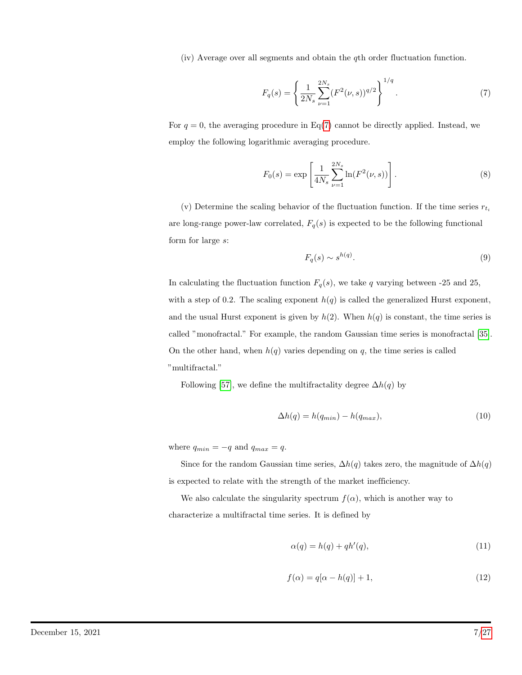(iv) Average over all segments and obtain the qth order fluctuation function.

<span id="page-6-0"></span>
$$
F_q(s) = \left\{ \frac{1}{2N_s} \sum_{\nu=1}^{2N_s} (F^2(\nu, s))^{q/2} \right\}^{1/q}.
$$
 (7)

For  $q = 0$ , the averaging procedure in Eq[\(7\)](#page-6-0) cannot be directly applied. Instead, we employ the following logarithmic averaging procedure.

$$
F_0(s) = \exp\left[\frac{1}{4N_s} \sum_{\nu=1}^{2N_s} \ln(F^2(\nu, s))\right].
$$
 (8)

(v) Determine the scaling behavior of the fluctuation function. If the time series  $r_{t_i}$ are long-range power-law correlated,  $F_q(s)$  is expected to be the following functional form for large s:

$$
F_q(s) \sim s^{h(q)}.\tag{9}
$$

In calculating the fluctuation function  $F_q(s)$ , we take q varying between -25 and 25, with a step of 0.2. The scaling exponent  $h(q)$  is called the generalized Hurst exponent, and the usual Hurst exponent is given by  $h(2)$ . When  $h(q)$  is constant, the time series is called "monofractal." For example, the random Gaussian time series is monofractal [\[35\]](#page-21-7). On the other hand, when  $h(q)$  varies depending on q, the time series is called "multifractal."

Following [\[57\]](#page-23-2), we define the multifractality degree  $\Delta h(q)$  by

$$
\Delta h(q) = h(q_{min}) - h(q_{max}),\tag{10}
$$

where  $q_{min} = -q$  and  $q_{max} = q$ .

Since for the random Gaussian time series,  $\Delta h(q)$  takes zero, the magnitude of  $\Delta h(q)$ is expected to relate with the strength of the market inefficiency.

We also calculate the singularity spectrum  $f(\alpha)$ , which is another way to characterize a multifractal time series. It is defined by

$$
\alpha(q) = h(q) + qh'(q),\tag{11}
$$

$$
f(\alpha) = q[\alpha - h(q)] + 1,\tag{12}
$$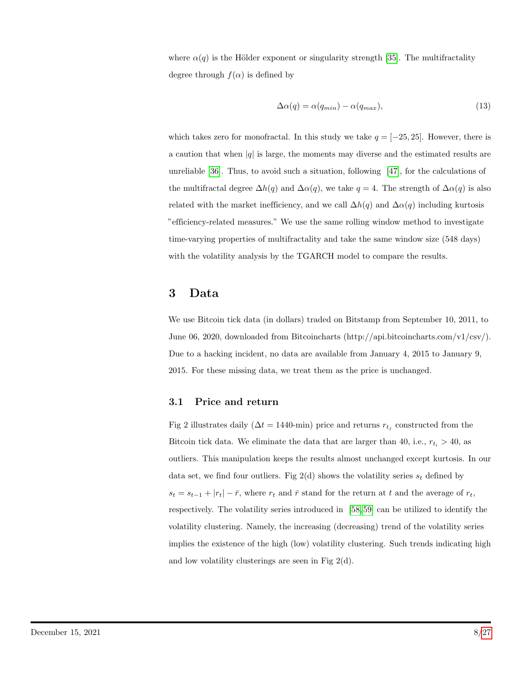where  $\alpha(q)$  is the Hölder exponent or singularity strength [\[35\]](#page-21-7). The multifractality degree through  $f(\alpha)$  is defined by

$$
\Delta \alpha(q) = \alpha(q_{min}) - \alpha(q_{max}), \qquad (13)
$$

which takes zero for monofractal. In this study we take  $q = [-25, 25]$ . However, there is a caution that when  $|q|$  is large, the moments may diverse and the estimated results are unreliable [\[36\]](#page-21-8). Thus, to avoid such a situation, following [\[47\]](#page-22-4), for the calculations of the multifractal degree  $\Delta h(q)$  and  $\Delta \alpha(q)$ , we take  $q = 4$ . The strength of  $\Delta \alpha(q)$  is also related with the market inefficiency, and we call  $\Delta h(q)$  and  $\Delta \alpha(q)$  including kurtosis "efficiency-related measures." We use the same rolling window method to investigate time-varying properties of multifractality and take the same window size (548 days) with the volatility analysis by the TGARCH model to compare the results.

### 3 Data

We use Bitcoin tick data (in dollars) traded on Bitstamp from September 10, 2011, to June 06, 2020, downloaded from Bitcoincharts (http://api.bitcoincharts.com/v1/csv/). Due to a hacking incident, no data are available from January 4, 2015 to January 9, 2015. For these missing data, we treat them as the price is unchanged.

### 3.1 Price and return

Fig 2 illustrates daily ( $\Delta t = 1440$ -min) price and returns  $r_{t_j}$  constructed from the Bitcoin tick data. We eliminate the data that are larger than 40, i.e.,  $r_{t_i} > 40$ , as outliers. This manipulation keeps the results almost unchanged except kurtosis. In our data set, we find four outliers. Fig 2(d) shows the volatility series  $s_t$  defined by  $s_t = s_{t-1} + |r_t| - \bar{r}$ , where  $r_t$  and  $\bar{r}$  stand for the return at t and the average of  $r_t$ , respectively. The volatility series introduced in [\[58,](#page-23-3) [59\]](#page-23-4) can be utilized to identify the volatility clustering. Namely, the increasing (decreasing) trend of the volatility series implies the existence of the high (low) volatility clustering. Such trends indicating high and low volatility clusterings are seen in Fig  $2(d)$ .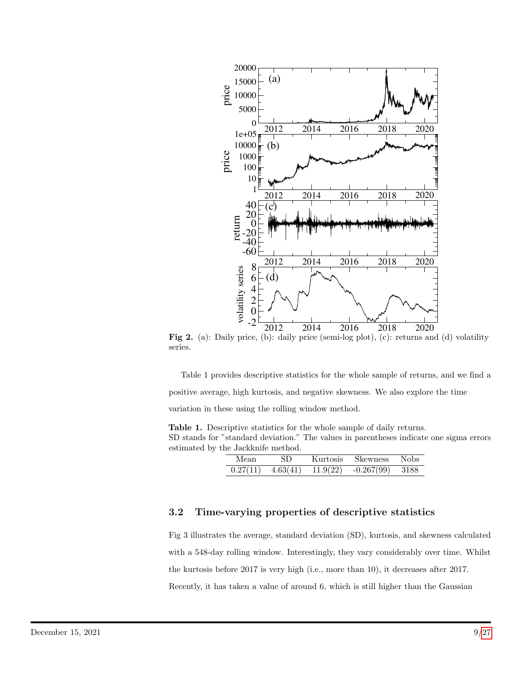

Fig 2. (a): Daily price, (b): daily price (semi-log plot), (c): returns and (d) volatility series.

Table 1 provides descriptive statistics for the whole sample of returns, and we find a positive average, high kurtosis, and negative skewness. We also explore the time variation in these using the rolling window method.

Table 1. Descriptive statistics for the whole sample of daily returns. SD stands for "standard deviation." The values in parentheses indicate one sigma errors estimated by the Jackknife method.

| Mean     |              | Kurtosis   | Skewness     |        |
|----------|--------------|------------|--------------|--------|
| 0.27(11) | $\pm$ 63(41) | 11 $9(22)$ | $-0.267(99)$ | - 3188 |

### 3.2 Time-varying properties of descriptive statistics

Fig 3 illustrates the average, standard deviation (SD), kurtosis, and skewness calculated with a 548-day rolling window. Interestingly, they vary considerably over time. Whilst the kurtosis before 2017 is very high (i.e., more than 10), it decreases after 2017. Recently, it has taken a value of around 6, which is still higher than the Gaussian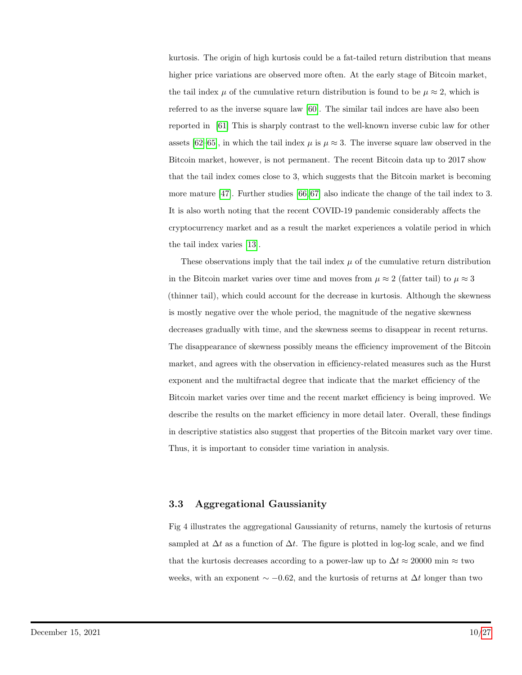kurtosis. The origin of high kurtosis could be a fat-tailed return distribution that means higher price variations are observed more often. At the early stage of Bitcoin market, the tail index  $\mu$  of the cumulative return distribution is found to be  $\mu \approx 2$ , which is referred to as the inverse square law [\[60\]](#page-23-5). The similar tail indces are have also been reported in [\[61\]](#page-23-6) This is sharply contrast to the well-known inverse cubic law for other assets [\[62](#page-24-0)[–65\]](#page-24-1), in which the tail index  $\mu$  is  $\mu \approx 3$ . The inverse square law observed in the Bitcoin market, however, is not permanent. The recent Bitcoin data up to 2017 show that the tail index comes close to 3, which suggests that the Bitcoin market is becoming more mature [\[47\]](#page-22-4). Further studies [\[66,](#page-24-2) [67\]](#page-24-3) also indicate the change of the tail index to 3. It is also worth noting that the recent COVID-19 pandemic considerably affects the cryptocurrency market and as a result the market experiences a volatile period in which the tail index varies [\[13\]](#page-19-11).

These observations imply that the tail index  $\mu$  of the cumulative return distribution in the Bitcoin market varies over time and moves from  $\mu \approx 2$  (fatter tail) to  $\mu \approx 3$ (thinner tail), which could account for the decrease in kurtosis. Although the skewness is mostly negative over the whole period, the magnitude of the negative skewness decreases gradually with time, and the skewness seems to disappear in recent returns. The disappearance of skewness possibly means the efficiency improvement of the Bitcoin market, and agrees with the observation in efficiency-related measures such as the Hurst exponent and the multifractal degree that indicate that the market efficiency of the Bitcoin market varies over time and the recent market efficiency is being improved. We describe the results on the market efficiency in more detail later. Overall, these findings in descriptive statistics also suggest that properties of the Bitcoin market vary over time. Thus, it is important to consider time variation in analysis.

#### 3.3 Aggregational Gaussianity

Fig 4 illustrates the aggregational Gaussianity of returns, namely the kurtosis of returns sampled at  $\Delta t$  as a function of  $\Delta t$ . The figure is plotted in log-log scale, and we find that the kurtosis decreases according to a power-law up to  $\Delta t \approx 20000$  min  $\approx$  two weeks, with an exponent  $\sim$  −0.62, and the kurtosis of returns at  $\Delta t$  longer than two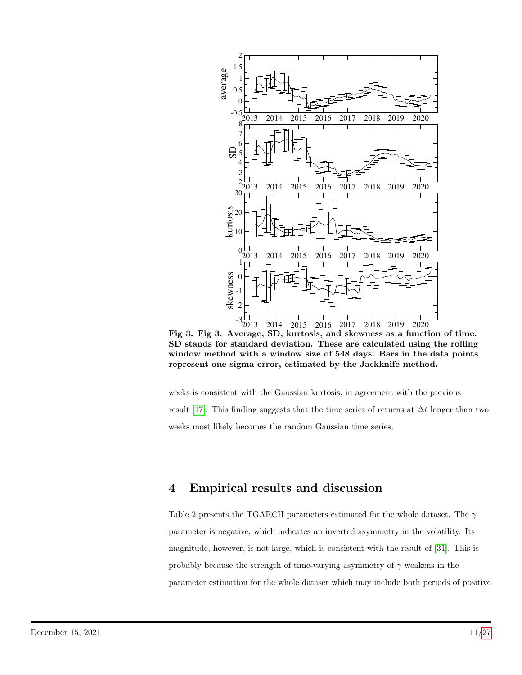

Fig 3. Fig 3. Average, SD, kurtosis, and skewness as a function of time. SD stands for standard deviation. These are calculated using the rolling window method with a window size of 548 days. Bars in the data points represent one sigma error, estimated by the Jackknife method.

weeks is consistent with the Gaussian kurtosis, in agreement with the previous result [\[17\]](#page-20-2). This finding suggests that the time series of returns at  $\Delta t$  longer than two weeks most likely becomes the random Gaussian time series.

## 4 Empirical results and discussion

Table 2 presents the TGARCH parameters estimated for the whole dataset. The  $\gamma$ parameter is negative, which indicates an inverted asymmetry in the volatility. Its magnitude, however, is not large, which is consistent with the result of [\[31\]](#page-21-3). This is probably because the strength of time-varying asymmetry of  $\gamma$  weakens in the parameter estimation for the whole dataset which may include both periods of positive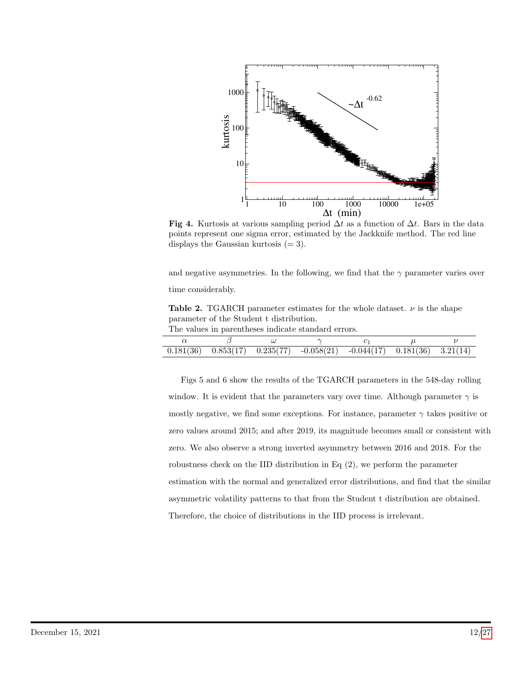

Fig 4. Kurtosis at various sampling period  $\Delta t$  as a function of  $\Delta t$ . Bars in the data points represent one sigma error, estimated by the Jackknife method. The red line displays the Gaussian kurtosis  $(= 3)$ .

and negative asymmetries. In the following, we find that the  $\gamma$  parameter varies over time considerably.

Table 2. TGARCH parameter estimates for the whole dataset.  $\nu$  is the shape parameter of the Student t distribution.

The values in parentheses indicate standard errors.

|  | $0.181(36)$ $0.853(17)$ $0.235(77)$ $-0.058(21)$ $-0.044(17)$ $0.181(36)$ $3.21(14)$ |  |  |
|--|--------------------------------------------------------------------------------------|--|--|

Figs 5 and 6 show the results of the TGARCH parameters in the 548-day rolling window. It is evident that the parameters vary over time. Although parameter  $\gamma$  is mostly negative, we find some exceptions. For instance, parameter  $\gamma$  takes positive or zero values around 2015; and after 2019, its magnitude becomes small or consistent with zero. We also observe a strong inverted asymmetry between 2016 and 2018. For the robustness check on the IID distribution in Eq (2), we perform the parameter estimation with the normal and generalized error distributions, and find that the similar asymmetric volatility patterns to that from the Student t distribution are obtained. Therefore, the choice of distributions in the IID process is irrelevant.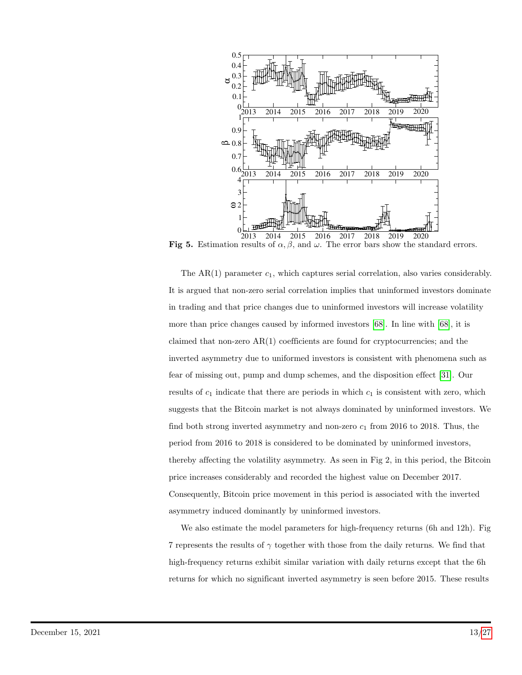

Fig 5. Estimation results of  $\alpha$ ,  $\beta$ , and  $\omega$ . The error bars show the standard errors.

The  $AR(1)$  parameter  $c_1$ , which captures serial correlation, also varies considerably. It is argued that non-zero serial correlation implies that uninformed investors dominate in trading and that price changes due to uninformed investors will increase volatility more than price changes caused by informed investors [\[68\]](#page-24-4). In line with [\[68\]](#page-24-4), it is claimed that non-zero  $AR(1)$  coefficients are found for cryptocurrencies; and the inverted asymmetry due to uniformed investors is consistent with phenomena such as fear of missing out, pump and dump schemes, and the disposition effect [\[31\]](#page-21-3). Our results of  $c_1$  indicate that there are periods in which  $c_1$  is consistent with zero, which suggests that the Bitcoin market is not always dominated by uninformed investors. We find both strong inverted asymmetry and non-zero  $c_1$  from 2016 to 2018. Thus, the period from 2016 to 2018 is considered to be dominated by uninformed investors, thereby affecting the volatility asymmetry. As seen in Fig 2, in this period, the Bitcoin price increases considerably and recorded the highest value on December 2017. Consequently, Bitcoin price movement in this period is associated with the inverted asymmetry induced dominantly by uninformed investors.

We also estimate the model parameters for high-frequency returns (6h and 12h). Fig 7 represents the results of  $\gamma$  together with those from the daily returns. We find that high-frequency returns exhibit similar variation with daily returns except that the 6h returns for which no significant inverted asymmetry is seen before 2015. These results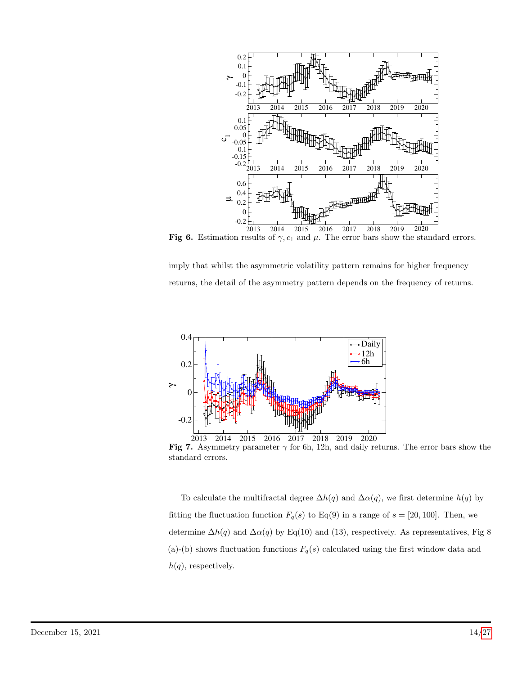

Fig 6. Estimation results of  $\gamma$ ,  $c_1$  and  $\mu$ . The error bars show the standard errors.

imply that whilst the asymmetric volatility pattern remains for higher frequency returns, the detail of the asymmetry pattern depends on the frequency of returns.





To calculate the multifractal degree  $\Delta h(q)$  and  $\Delta \alpha(q)$ , we first determine  $h(q)$  by fitting the fluctuation function  $F_q(s)$  to Eq(9) in a range of  $s = [20, 100]$ . Then, we determine  $\Delta h(q)$  and  $\Delta \alpha(q)$  by Eq(10) and (13), respectively. As representatives, Fig 8 (a)-(b) shows fluctuation functions  $F_q(s)$  calculated using the first window data and  $h(q)$ , respectively.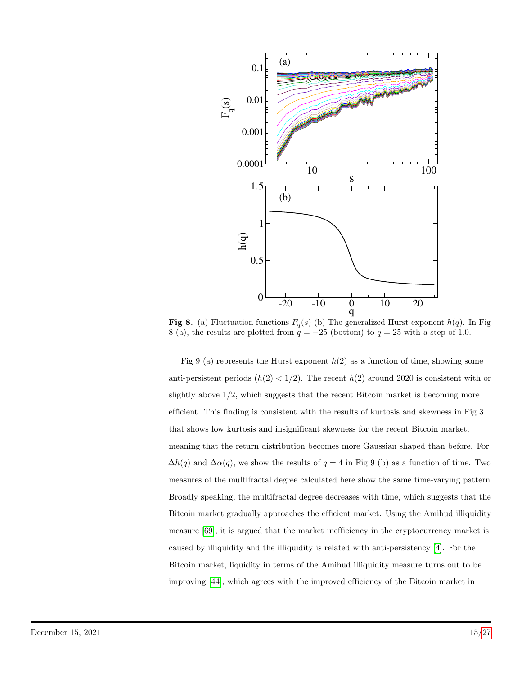

**Fig 8.** (a) Fluctuation functions  $F_q(s)$  (b) The generalized Hurst exponent  $h(q)$ . In Fig 8 (a), the results are plotted from  $q = -25$  (bottom) to  $q = 25$  with a step of 1.0.

Fig 9 (a) represents the Hurst exponent  $h(2)$  as a function of time, showing some anti-persistent periods  $(h(2) < 1/2)$ . The recent  $h(2)$  around 2020 is consistent with or slightly above 1/2, which suggests that the recent Bitcoin market is becoming more efficient. This finding is consistent with the results of kurtosis and skewness in Fig 3 that shows low kurtosis and insignificant skewness for the recent Bitcoin market, meaning that the return distribution becomes more Gaussian shaped than before. For  $\Delta h(q)$  and  $\Delta \alpha(q)$ , we show the results of  $q = 4$  in Fig 9 (b) as a function of time. Two measures of the multifractal degree calculated here show the same time-varying pattern. Broadly speaking, the multifractal degree decreases with time, which suggests that the Bitcoin market gradually approaches the efficient market. Using the Amihud illiquidity measure [\[69\]](#page-24-5), it is argued that the market inefficiency in the cryptocurrency market is caused by illiquidity and the illiquidity is related with anti-persistency [\[4\]](#page-19-2). For the Bitcoin market, liquidity in terms of the Amihud illiquidity measure turns out to be improving [\[44\]](#page-22-3), which agrees with the improved efficiency of the Bitcoin market in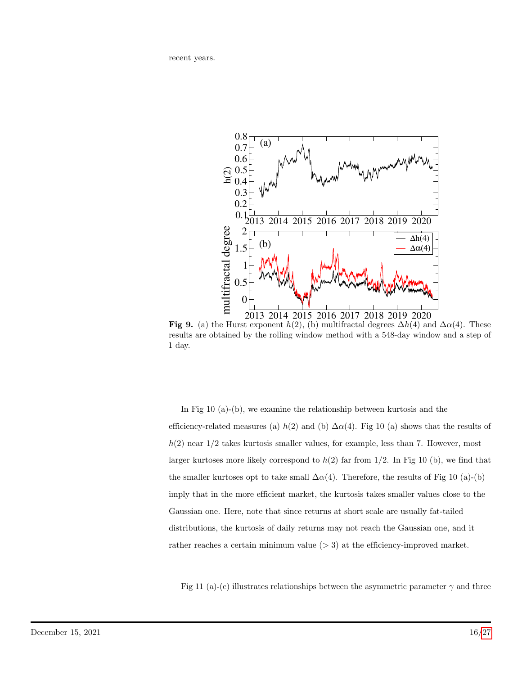recent years.



Fig 9. (a) the Hurst exponent  $h(2)$ , (b) multifractal degrees  $\Delta h(4)$  and  $\Delta \alpha(4)$ . These results are obtained by the rolling window method with a 548-day window and a step of 1 day.

In Fig 10 (a)-(b), we examine the relationship between kurtosis and the efficiency-related measures (a)  $h(2)$  and (b)  $\Delta \alpha(4)$ . Fig 10 (a) shows that the results of  $h(2)$  near  $1/2$  takes kurtosis smaller values, for example, less than 7. However, most larger kurtoses more likely correspond to  $h(2)$  far from  $1/2$ . In Fig 10 (b), we find that the smaller kurtoses opt to take small  $\Delta \alpha(4)$ . Therefore, the results of Fig 10 (a)-(b) imply that in the more efficient market, the kurtosis takes smaller values close to the Gaussian one. Here, note that since returns at short scale are usually fat-tailed distributions, the kurtosis of daily returns may not reach the Gaussian one, and it rather reaches a certain minimum value  $(> 3)$  at the efficiency-improved market.

Fig 11 (a)-(c) illustrates relationships between the asymmetric parameter  $\gamma$  and three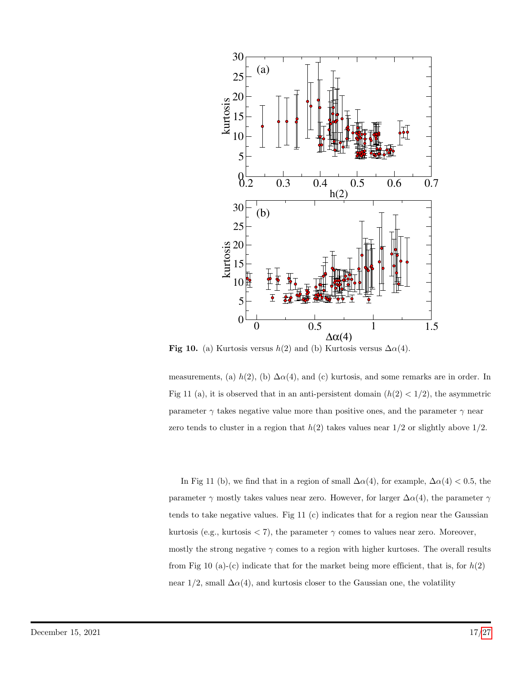

Fig 10. (a) Kurtosis versus  $h(2)$  and (b) Kurtosis versus  $\Delta \alpha(4)$ .

measurements, (a)  $h(2)$ , (b)  $\Delta \alpha(4)$ , and (c) kurtosis, and some remarks are in order. In Fig 11 (a), it is observed that in an anti-persistent domain  $(h(2) < 1/2)$ , the asymmetric parameter  $\gamma$  takes negative value more than positive ones, and the parameter  $\gamma$  near zero tends to cluster in a region that  $h(2)$  takes values near  $1/2$  or slightly above  $1/2$ .

In Fig 11 (b), we find that in a region of small  $\Delta \alpha(4)$ , for example,  $\Delta \alpha(4) < 0.5$ , the parameter  $\gamma$  mostly takes values near zero. However, for larger  $\Delta \alpha(4)$ , the parameter  $\gamma$ tends to take negative values. Fig 11 (c) indicates that for a region near the Gaussian kurtosis (e.g., kurtosis  $\langle 7 \rangle$ , the parameter  $\gamma$  comes to values near zero. Moreover, mostly the strong negative  $\gamma$  comes to a region with higher kurtoses. The overall results from Fig 10 (a)-(c) indicate that for the market being more efficient, that is, for  $h(2)$ near  $1/2$ , small  $\Delta \alpha(4)$ , and kurtosis closer to the Gaussian one, the volatility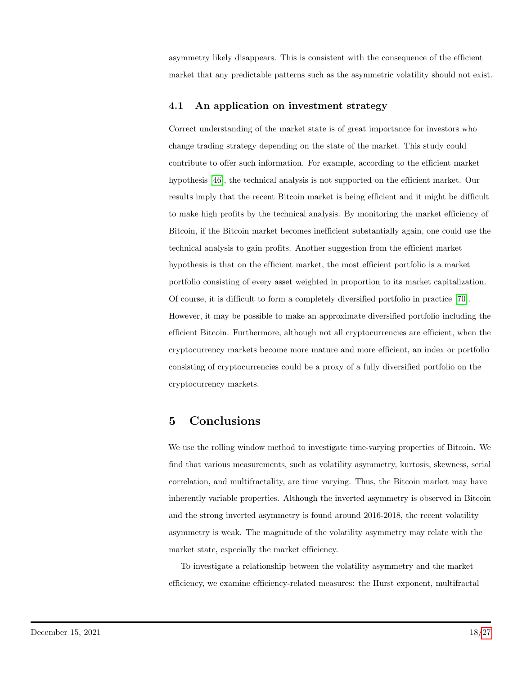asymmetry likely disappears. This is consistent with the consequence of the efficient market that any predictable patterns such as the asymmetric volatility should not exist.

### 4.1 An application on investment strategy

Correct understanding of the market state is of great importance for investors who change trading strategy depending on the state of the market. This study could contribute to offer such information. For example, according to the efficient market hypothesis [\[46\]](#page-22-1), the technical analysis is not supported on the efficient market. Our results imply that the recent Bitcoin market is being efficient and it might be difficult to make high profits by the technical analysis. By monitoring the market efficiency of Bitcoin, if the Bitcoin market becomes inefficient substantially again, one could use the technical analysis to gain profits. Another suggestion from the efficient market hypothesis is that on the efficient market, the most efficient portfolio is a market portfolio consisting of every asset weighted in proportion to its market capitalization. Of course, it is difficult to form a completely diversified portfolio in practice [\[70\]](#page-24-6). However, it may be possible to make an approximate diversified portfolio including the efficient Bitcoin. Furthermore, although not all cryptocurrencies are efficient, when the cryptocurrency markets become more mature and more efficient, an index or portfolio consisting of cryptocurrencies could be a proxy of a fully diversified portfolio on the cryptocurrency markets.

# 5 Conclusions

We use the rolling window method to investigate time-varying properties of Bitcoin. We find that various measurements, such as volatility asymmetry, kurtosis, skewness, serial correlation, and multifractality, are time varying. Thus, the Bitcoin market may have inherently variable properties. Although the inverted asymmetry is observed in Bitcoin and the strong inverted asymmetry is found around 2016-2018, the recent volatility asymmetry is weak. The magnitude of the volatility asymmetry may relate with the market state, especially the market efficiency.

To investigate a relationship between the volatility asymmetry and the market efficiency, we examine efficiency-related measures: the Hurst exponent, multifractal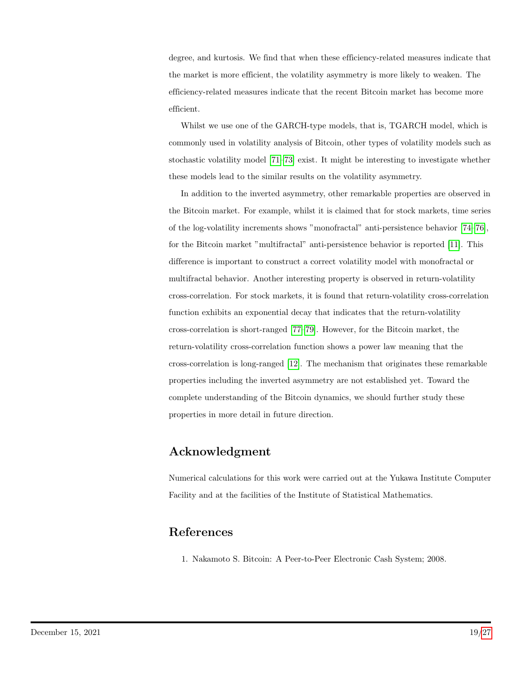degree, and kurtosis. We find that when these efficiency-related measures indicate that the market is more efficient, the volatility asymmetry is more likely to weaken. The efficiency-related measures indicate that the recent Bitcoin market has become more efficient.

Whilst we use one of the GARCH-type models, that is, TGARCH model, which is commonly used in volatility analysis of Bitcoin, other types of volatility models such as stochastic volatility model [\[71](#page-24-7)[–73\]](#page-24-8) exist. It might be interesting to investigate whether these models lead to the similar results on the volatility asymmetry.

In addition to the inverted asymmetry, other remarkable properties are observed in the Bitcoin market. For example, whilst it is claimed that for stock markets, time series of the log-volatility increments shows "monofractal" anti-persistence behavior [\[74–](#page-25-0)[76\]](#page-25-1), for the Bitcoin market "multifractal" anti-persistence behavior is reported [\[11\]](#page-19-9). This difference is important to construct a correct volatility model with monofractal or multifractal behavior. Another interesting property is observed in return-volatility cross-correlation. For stock markets, it is found that return-volatility cross-correlation function exhibits an exponential decay that indicates that the return-volatility cross-correlation is short-ranged [\[77](#page-25-2)[–79\]](#page-25-3). However, for the Bitcoin market, the return-volatility cross-correlation function shows a power law meaning that the cross-correlation is long-ranged [\[12\]](#page-19-10). The mechanism that originates these remarkable properties including the inverted asymmetry are not established yet. Toward the complete understanding of the Bitcoin dynamics, we should further study these properties in more detail in future direction.

# Acknowledgment

Numerical calculations for this work were carried out at the Yukawa Institute Computer Facility and at the facilities of the Institute of Statistical Mathematics.

## <span id="page-18-0"></span>References

1. Nakamoto S. Bitcoin: A Peer-to-Peer Electronic Cash System; 2008.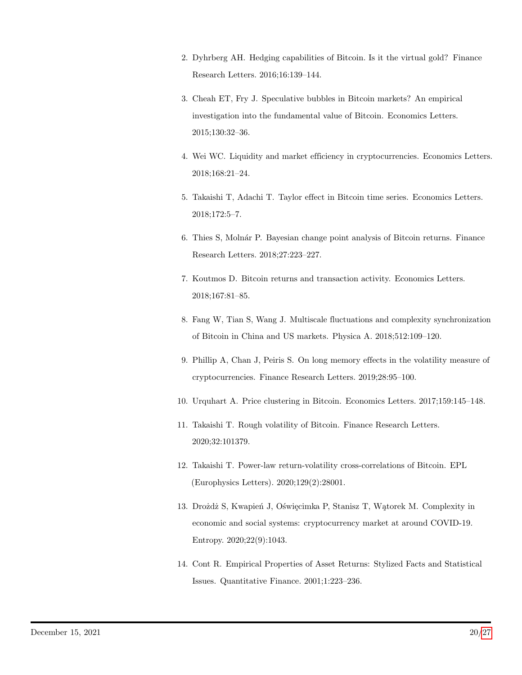- <span id="page-19-0"></span>2. Dyhrberg AH. Hedging capabilities of Bitcoin. Is it the virtual gold? Finance Research Letters. 2016;16:139–144.
- <span id="page-19-1"></span>3. Cheah ET, Fry J. Speculative bubbles in Bitcoin markets? An empirical investigation into the fundamental value of Bitcoin. Economics Letters. 2015;130:32–36.
- <span id="page-19-2"></span>4. Wei WC. Liquidity and market efficiency in cryptocurrencies. Economics Letters. 2018;168:21–24.
- <span id="page-19-3"></span>5. Takaishi T, Adachi T. Taylor effect in Bitcoin time series. Economics Letters. 2018;172:5–7.
- <span id="page-19-4"></span>6. Thies S, Moln´ar P. Bayesian change point analysis of Bitcoin returns. Finance Research Letters. 2018;27:223–227.
- <span id="page-19-5"></span>7. Koutmos D. Bitcoin returns and transaction activity. Economics Letters. 2018;167:81–85.
- <span id="page-19-6"></span>8. Fang W, Tian S, Wang J. Multiscale fluctuations and complexity synchronization of Bitcoin in China and US markets. Physica A. 2018;512:109–120.
- <span id="page-19-7"></span>9. Phillip A, Chan J, Peiris S. On long memory effects in the volatility measure of cryptocurrencies. Finance Research Letters. 2019;28:95–100.
- <span id="page-19-8"></span>10. Urquhart A. Price clustering in Bitcoin. Economics Letters. 2017;159:145–148.
- <span id="page-19-9"></span>11. Takaishi T. Rough volatility of Bitcoin. Finance Research Letters. 2020;32:101379.
- <span id="page-19-10"></span>12. Takaishi T. Power-law return-volatility cross-correlations of Bitcoin. EPL (Europhysics Letters). 2020;129(2):28001.
- <span id="page-19-11"></span>13. Drożdż S, Kwapień J, Oświęcimka P, Stanisz T, Wątorek M. Complexity in economic and social systems: cryptocurrency market at around COVID-19. Entropy. 2020;22(9):1043.
- <span id="page-19-12"></span>14. Cont R. Empirical Properties of Asset Returns: Stylized Facts and Statistical Issues. Quantitative Finance. 2001;1:223–236.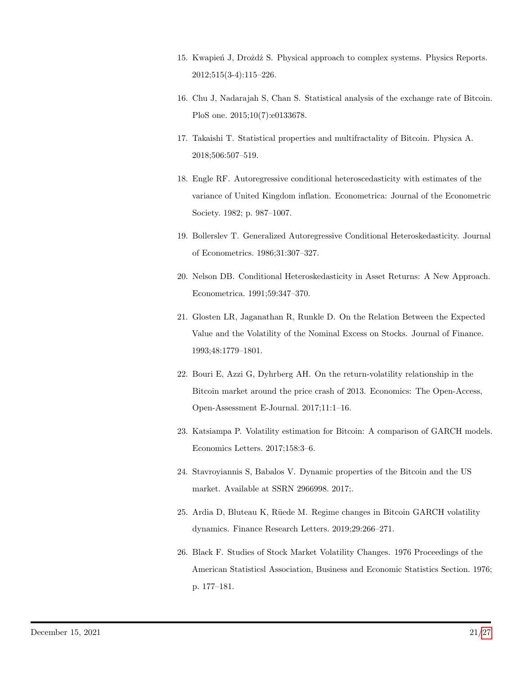- <span id="page-20-0"></span>15. Kwapień J, Drożdż S. Physical approach to complex systems. Physics Reports. 2012;515(3-4):115–226.
- <span id="page-20-1"></span>16. Chu J, Nadarajah S, Chan S. Statistical analysis of the exchange rate of Bitcoin. PloS one. 2015;10(7):e0133678.
- <span id="page-20-2"></span>17. Takaishi T. Statistical properties and multifractality of Bitcoin. Physica A. 2018;506:507–519.
- <span id="page-20-3"></span>18. Engle RF. Autoregressive conditional heteroscedasticity with estimates of the variance of United Kingdom inflation. Econometrica: Journal of the Econometric Society. 1982; p. 987–1007.
- <span id="page-20-8"></span>19. Bollerslev T. Generalized Autoregressive Conditional Heteroskedasticity. Journal of Econometrics. 1986;31:307–327.
- <span id="page-20-9"></span>20. Nelson DB. Conditional Heteroskedasticity in Asset Returns: A New Approach. Econometrica. 1991;59:347–370.
- <span id="page-20-4"></span>21. Glosten LR, Jaganathan R, Runkle D. On the Relation Between the Expected Value and the Volatility of the Nominal Excess on Stocks. Journal of Finance. 1993;48:1779–1801.
- <span id="page-20-5"></span>22. Bouri E, Azzi G, Dyhrberg AH. On the return-volatility relationship in the Bitcoin market around the price crash of 2013. Economics: The Open-Access, Open-Assessment E-Journal. 2017;11:1–16.
- 23. Katsiampa P. Volatility estimation for Bitcoin: A comparison of GARCH models. Economics Letters. 2017;158:3–6.
- 24. Stavroyiannis S, Babalos V. Dynamic properties of the Bitcoin and the US market. Available at SSRN 2966998. 2017;.
- <span id="page-20-6"></span>25. Ardia D, Bluteau K, R¨uede M. Regime changes in Bitcoin GARCH volatility dynamics. Finance Research Letters. 2019;29:266–271.
- <span id="page-20-7"></span>26. Black F. Studies of Stock Market Volatility Changes. 1976 Proceedings of the American Statisticsl Association, Business and Economic Statistics Section. 1976; p. 177–181.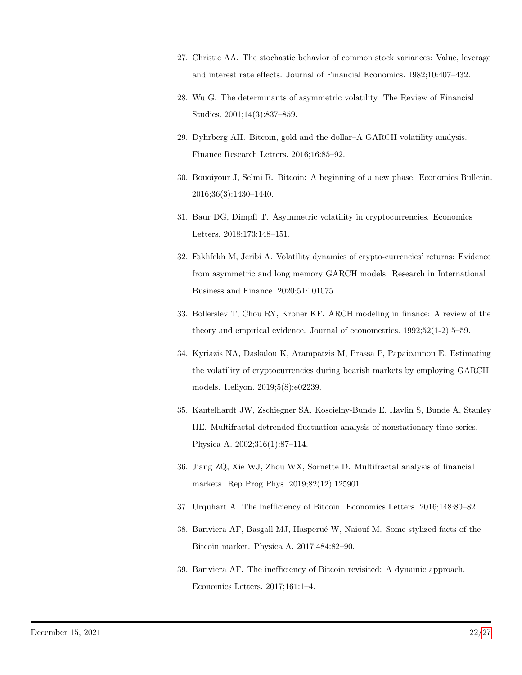- <span id="page-21-10"></span>27. Christie AA. The stochastic behavior of common stock variances: Value, leverage and interest rate effects. Journal of Financial Economics. 1982;10:407–432.
- <span id="page-21-0"></span>28. Wu G. The determinants of asymmetric volatility. The Review of Financial Studies. 2001;14(3):837–859.
- <span id="page-21-1"></span>29. Dyhrberg AH. Bitcoin, gold and the dollar–A GARCH volatility analysis. Finance Research Letters. 2016;16:85–92.
- <span id="page-21-2"></span>30. Bouoiyour J, Selmi R. Bitcoin: A beginning of a new phase. Economics Bulletin. 2016;36(3):1430–1440.
- <span id="page-21-3"></span>31. Baur DG, Dimpfl T. Asymmetric volatility in cryptocurrencies. Economics Letters. 2018;173:148–151.
- <span id="page-21-4"></span>32. Fakhfekh M, Jeribi A. Volatility dynamics of crypto-currencies' returns: Evidence from asymmetric and long memory GARCH models. Research in International Business and Finance. 2020;51:101075.
- <span id="page-21-5"></span>33. Bollerslev T, Chou RY, Kroner KF. ARCH modeling in finance: A review of the theory and empirical evidence. Journal of econometrics. 1992;52(1-2):5–59.
- <span id="page-21-6"></span>34. Kyriazis NA, Daskalou K, Arampatzis M, Prassa P, Papaioannou E. Estimating the volatility of cryptocurrencies during bearish markets by employing GARCH models. Heliyon. 2019;5(8):e02239.
- <span id="page-21-7"></span>35. Kantelhardt JW, Zschiegner SA, Koscielny-Bunde E, Havlin S, Bunde A, Stanley HE. Multifractal detrended fluctuation analysis of nonstationary time series. Physica A. 2002;316(1):87–114.
- <span id="page-21-8"></span>36. Jiang ZQ, Xie WJ, Zhou WX, Sornette D. Multifractal analysis of financial markets. Rep Prog Phys. 2019;82(12):125901.
- <span id="page-21-9"></span>37. Urquhart A. The inefficiency of Bitcoin. Economics Letters. 2016;148:80–82.
- 38. Bariviera AF, Basgall MJ, Hasperué W, Naiouf M. Some stylized facts of the Bitcoin market. Physica A. 2017;484:82–90.
- 39. Bariviera AF. The inefficiency of Bitcoin revisited: A dynamic approach. Economics Letters. 2017;161:1–4.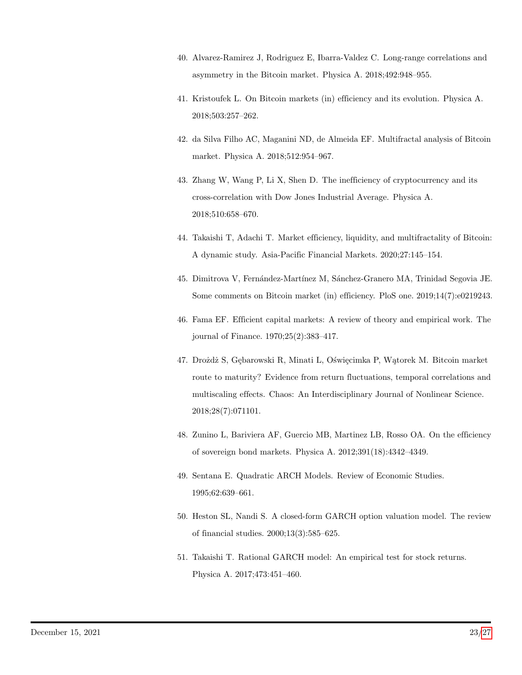- <span id="page-22-2"></span>40. Alvarez-Ramirez J, Rodriguez E, Ibarra-Valdez C. Long-range correlations and asymmetry in the Bitcoin market. Physica A. 2018;492:948–955.
- 41. Kristoufek L. On Bitcoin markets (in) efficiency and its evolution. Physica A. 2018;503:257–262.
- 42. da Silva Filho AC, Maganini ND, de Almeida EF. Multifractal analysis of Bitcoin market. Physica A. 2018;512:954–967.
- 43. Zhang W, Wang P, Li X, Shen D. The inefficiency of cryptocurrency and its cross-correlation with Dow Jones Industrial Average. Physica A. 2018;510:658–670.
- <span id="page-22-3"></span>44. Takaishi T, Adachi T. Market efficiency, liquidity, and multifractality of Bitcoin: A dynamic study. Asia-Pacific Financial Markets. 2020;27:145–154.
- <span id="page-22-0"></span>45. Dimitrova V, Fern´andez-Mart´ınez M, S´anchez-Granero MA, Trinidad Segovia JE. Some comments on Bitcoin market (in) efficiency. PloS one. 2019;14(7):e0219243.
- <span id="page-22-1"></span>46. Fama EF. Efficient capital markets: A review of theory and empirical work. The journal of Finance. 1970;25(2):383–417.
- <span id="page-22-4"></span>47. Drożdż S, Gębarowski R, Minati L, Oświęcimka P, Wątorek M. Bitcoin market route to maturity? Evidence from return fluctuations, temporal correlations and multiscaling effects. Chaos: An Interdisciplinary Journal of Nonlinear Science. 2018;28(7):071101.
- <span id="page-22-5"></span>48. Zunino L, Bariviera AF, Guercio MB, Martinez LB, Rosso OA. On the efficiency of sovereign bond markets. Physica A. 2012;391(18):4342–4349.
- <span id="page-22-6"></span>49. Sentana E. Quadratic ARCH Models. Review of Economic Studies. 1995;62:639–661.
- 50. Heston SL, Nandi S. A closed-form GARCH option valuation model. The review of financial studies. 2000;13(3):585–625.
- <span id="page-22-7"></span>51. Takaishi T. Rational GARCH model: An empirical test for stock returns. Physica A. 2017;473:451–460.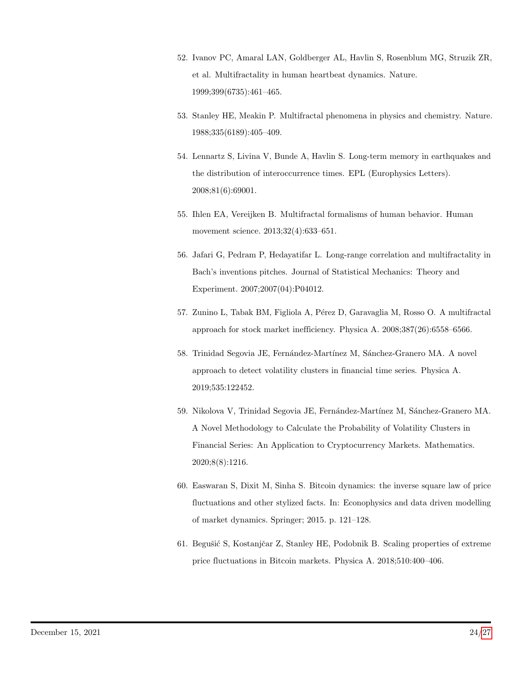- <span id="page-23-0"></span>52. Ivanov PC, Amaral LAN, Goldberger AL, Havlin S, Rosenblum MG, Struzik ZR, et al. Multifractality in human heartbeat dynamics. Nature. 1999;399(6735):461–465.
- 53. Stanley HE, Meakin P. Multifractal phenomena in physics and chemistry. Nature. 1988;335(6189):405–409.
- 54. Lennartz S, Livina V, Bunde A, Havlin S. Long-term memory in earthquakes and the distribution of interoccurrence times. EPL (Europhysics Letters). 2008;81(6):69001.
- 55. Ihlen EA, Vereijken B. Multifractal formalisms of human behavior. Human movement science. 2013;32(4):633–651.
- <span id="page-23-1"></span>56. Jafari G, Pedram P, Hedayatifar L. Long-range correlation and multifractality in Bach's inventions pitches. Journal of Statistical Mechanics: Theory and Experiment. 2007;2007(04):P04012.
- <span id="page-23-2"></span>57. Zunino L, Tabak BM, Figliola A, P´erez D, Garavaglia M, Rosso O. A multifractal approach for stock market inefficiency. Physica A. 2008;387(26):6558–6566.
- <span id="page-23-3"></span>58. Trinidad Segovia JE, Fernández-Martínez M, Sánchez-Granero MA. A novel approach to detect volatility clusters in financial time series. Physica A. 2019;535:122452.
- <span id="page-23-4"></span>59. Nikolova V, Trinidad Segovia JE, Fernández-Martínez M, Sánchez-Granero MA. A Novel Methodology to Calculate the Probability of Volatility Clusters in Financial Series: An Application to Cryptocurrency Markets. Mathematics. 2020;8(8):1216.
- <span id="page-23-5"></span>60. Easwaran S, Dixit M, Sinha S. Bitcoin dynamics: the inverse square law of price fluctuations and other stylized facts. In: Econophysics and data driven modelling of market dynamics. Springer; 2015. p. 121–128.
- <span id="page-23-6"></span>61. Begušić S, Kostanjčar Z, Stanley HE, Podobnik B. Scaling properties of extreme price fluctuations in Bitcoin markets. Physica A. 2018;510:400–406.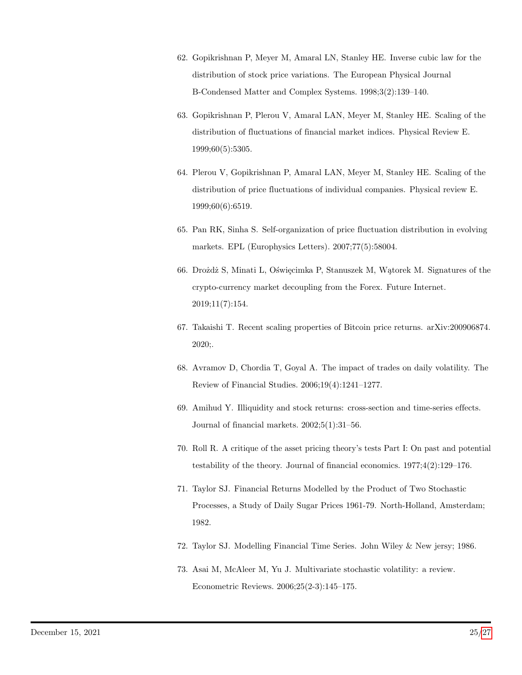- <span id="page-24-0"></span>62. Gopikrishnan P, Meyer M, Amaral LN, Stanley HE. Inverse cubic law for the distribution of stock price variations. The European Physical Journal B-Condensed Matter and Complex Systems. 1998;3(2):139–140.
- 63. Gopikrishnan P, Plerou V, Amaral LAN, Meyer M, Stanley HE. Scaling of the distribution of fluctuations of financial market indices. Physical Review E. 1999;60(5):5305.
- 64. Plerou V, Gopikrishnan P, Amaral LAN, Meyer M, Stanley HE. Scaling of the distribution of price fluctuations of individual companies. Physical review E. 1999;60(6):6519.
- <span id="page-24-1"></span>65. Pan RK, Sinha S. Self-organization of price fluctuation distribution in evolving markets. EPL (Europhysics Letters). 2007;77(5):58004.
- <span id="page-24-2"></span>66. Drożdż S, Minati L, Oświęcimka P, Stanuszek M, Wątorek M. Signatures of the crypto-currency market decoupling from the Forex. Future Internet. 2019;11(7):154.
- <span id="page-24-3"></span>67. Takaishi T. Recent scaling properties of Bitcoin price returns. arXiv:200906874. 2020;.
- <span id="page-24-4"></span>68. Avramov D, Chordia T, Goyal A. The impact of trades on daily volatility. The Review of Financial Studies. 2006;19(4):1241–1277.
- <span id="page-24-5"></span>69. Amihud Y. Illiquidity and stock returns: cross-section and time-series effects. Journal of financial markets. 2002;5(1):31–56.
- <span id="page-24-6"></span>70. Roll R. A critique of the asset pricing theory's tests Part I: On past and potential testability of the theory. Journal of financial economics. 1977;4(2):129–176.
- <span id="page-24-7"></span>71. Taylor SJ. Financial Returns Modelled by the Product of Two Stochastic Processes, a Study of Daily Sugar Prices 1961-79. North-Holland, Amsterdam; 1982.
- 72. Taylor SJ. Modelling Financial Time Series. John Wiley & New jersy; 1986.
- <span id="page-24-8"></span>73. Asai M, McAleer M, Yu J. Multivariate stochastic volatility: a review. Econometric Reviews. 2006;25(2-3):145–175.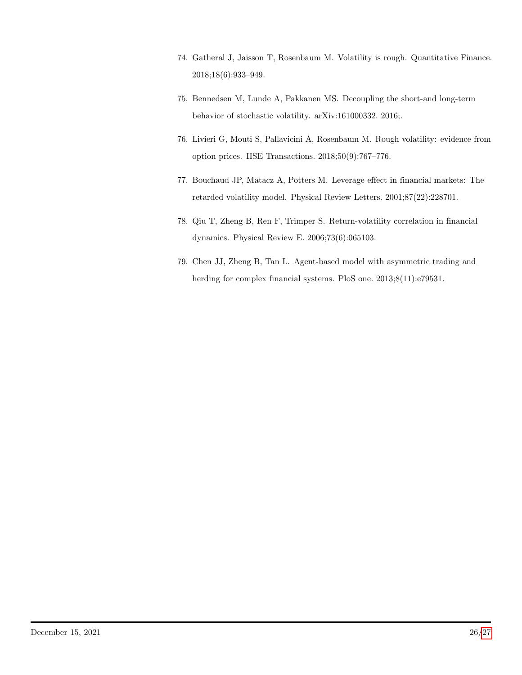- <span id="page-25-0"></span>74. Gatheral J, Jaisson T, Rosenbaum M. Volatility is rough. Quantitative Finance. 2018;18(6):933–949.
- 75. Bennedsen M, Lunde A, Pakkanen MS. Decoupling the short-and long-term behavior of stochastic volatility. arXiv:161000332. 2016;.
- <span id="page-25-1"></span>76. Livieri G, Mouti S, Pallavicini A, Rosenbaum M. Rough volatility: evidence from option prices. IISE Transactions. 2018;50(9):767–776.
- <span id="page-25-2"></span>77. Bouchaud JP, Matacz A, Potters M. Leverage effect in financial markets: The retarded volatility model. Physical Review Letters. 2001;87(22):228701.
- 78. Qiu T, Zheng B, Ren F, Trimper S. Return-volatility correlation in financial dynamics. Physical Review E. 2006;73(6):065103.
- <span id="page-25-3"></span>79. Chen JJ, Zheng B, Tan L. Agent-based model with asymmetric trading and herding for complex financial systems. PloS one.  $2013;8(11):e79531$ .